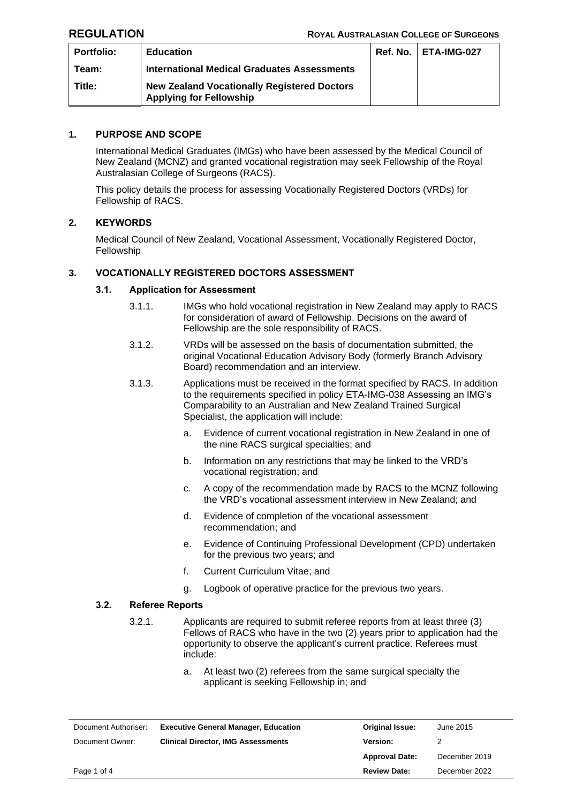| <b>Portfolio:</b> | <b>Education</b>                                                                     | <b>Ref. No.   ETA-IMG-027</b> |
|-------------------|--------------------------------------------------------------------------------------|-------------------------------|
| Team:             | <b>International Medical Graduates Assessments</b>                                   |                               |
| Title:            | <b>New Zealand Vocationally Registered Doctors</b><br><b>Applying for Fellowship</b> |                               |

# **1. PURPOSE AND SCOPE**

International Medical Graduates (IMGs) who have been assessed by the Medical Council of New Zealand (MCNZ) and granted vocational registration may seek Fellowship of the Royal Australasian College of Surgeons (RACS).

This policy details the process for assessing Vocationally Registered Doctors (VRDs) for Fellowship of RACS.

# **2. KEYWORDS**

Medical Council of New Zealand, Vocational Assessment, Vocationally Registered Doctor, Fellowship

# **3. VOCATIONALLY REGISTERED DOCTORS ASSESSMENT**

## **3.1. Application for Assessment**

- 3.1.1. IMGs who hold vocational registration in New Zealand may apply to RACS for consideration of award of Fellowship. Decisions on the award of Fellowship are the sole responsibility of RACS.
- 3.1.2. VRDs will be assessed on the basis of documentation submitted, the original Vocational Education Advisory Body (formerly Branch Advisory Board) recommendation and an interview.
- 3.1.3. Applications must be received in the format specified by RACS. In addition to the requirements specified in policy ETA-IMG-038 Assessing an IMG's Comparability to an Australian and New Zealand Trained Surgical Specialist, the application will include:
	- a. Evidence of current vocational registration in New Zealand in one of the nine RACS surgical specialties; and
	- b. Information on any restrictions that may be linked to the VRD's vocational registration; and
	- c. A copy of the recommendation made by RACS to the MCNZ following the VRD's vocational assessment interview in New Zealand; and
	- d. Evidence of completion of the vocational assessment recommendation; and
	- e. Evidence of Continuing Professional Development (CPD) undertaken for the previous two years; and
	- f. Current Curriculum Vitae; and
	- g. Logbook of operative practice for the previous two years.

## **3.2. Referee Reports**

- 3.2.1. Applicants are required to submit referee reports from at least three (3) Fellows of RACS who have in the two (2) years prior to application had the opportunity to observe the applicant's current practice. Referees must include:
	- a. At least two (2) referees from the same surgical specialty the applicant is seeking Fellowship in; and

| Document Authoriser: | <b>Executive General Manager, Education</b> | <b>Original Issue:</b> | June 2015     |
|----------------------|---------------------------------------------|------------------------|---------------|
| Document Owner:      | <b>Clinical Director, IMG Assessments</b>   | Version:               |               |
|                      |                                             | <b>Approval Date:</b>  | December 2019 |
| Page 1 of 4          |                                             | <b>Review Date:</b>    | December 2022 |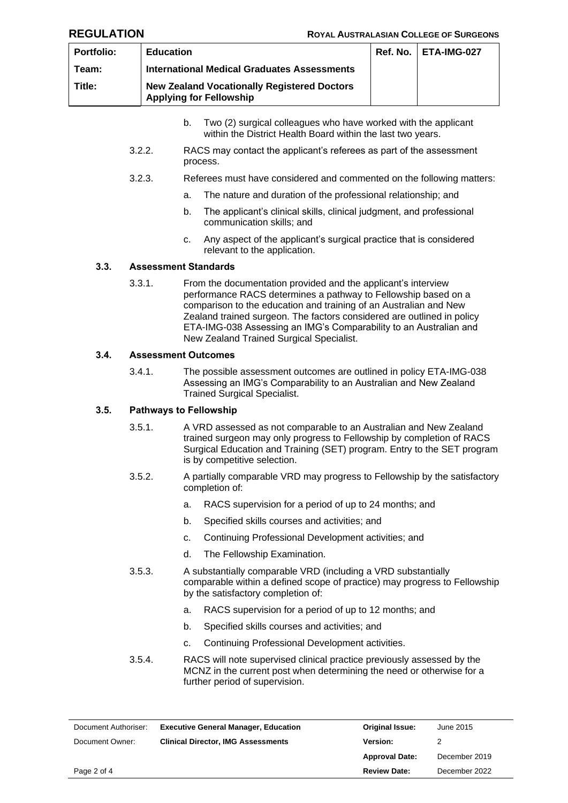| <b>Portfolio:</b> | <b>Education</b>                                                                     | <b>Ref. No.   ETA-IMG-027</b> |
|-------------------|--------------------------------------------------------------------------------------|-------------------------------|
| Team:             | <b>International Medical Graduates Assessments</b>                                   |                               |
| Title:            | <b>New Zealand Vocationally Registered Doctors</b><br><b>Applying for Fellowship</b> |                               |

- b. Two (2) surgical colleagues who have worked with the applicant within the District Health Board within the last two years.
- 3.2.2. RACS may contact the applicant's referees as part of the assessment process.
- 3.2.3. Referees must have considered and commented on the following matters:
	- a. The nature and duration of the professional relationship; and
	- b. The applicant's clinical skills, clinical judgment, and professional communication skills; and
	- c. Any aspect of the applicant's surgical practice that is considered relevant to the application.

# **3.3. Assessment Standards**

3.3.1. From the documentation provided and the applicant's interview performance RACS determines a pathway to Fellowship based on a comparison to the education and training of an Australian and New Zealand trained surgeon. The factors considered are outlined in policy ETA-IMG-038 Assessing an IMG's Comparability to an Australian and New Zealand Trained Surgical Specialist.

### **3.4. Assessment Outcomes**

3.4.1. The possible assessment outcomes are outlined in policy ETA-IMG-038 Assessing an IMG's Comparability to an Australian and New Zealand Trained Surgical Specialist.

## **3.5. Pathways to Fellowship**

- 3.5.1. A VRD assessed as not comparable to an Australian and New Zealand trained surgeon may only progress to Fellowship by completion of RACS Surgical Education and Training (SET) program. Entry to the SET program is by competitive selection.
- 3.5.2. A partially comparable VRD may progress to Fellowship by the satisfactory completion of:
	- a. RACS supervision for a period of up to 24 months; and
	- b. Specified skills courses and activities; and
	- c. Continuing Professional Development activities; and
	- d. The Fellowship Examination.
- 3.5.3. A substantially comparable VRD (including a VRD substantially comparable within a defined scope of practice) may progress to Fellowship by the satisfactory completion of:
	- a. RACS supervision for a period of up to 12 months; and
	- b. Specified skills courses and activities; and
	- c. Continuing Professional Development activities.
- 3.5.4. RACS will note supervised clinical practice previously assessed by the MCNZ in the current post when determining the need or otherwise for a further period of supervision.

| Document Authoriser: | <b>Executive General Manager, Education</b> | <b>Original Issue:</b> | June 2015     |
|----------------------|---------------------------------------------|------------------------|---------------|
| Document Owner:      | <b>Clinical Director, IMG Assessments</b>   | <b>Version:</b>        |               |
|                      |                                             | <b>Approval Date:</b>  | December 2019 |
| Page 2 of 4          |                                             | <b>Review Date:</b>    | December 2022 |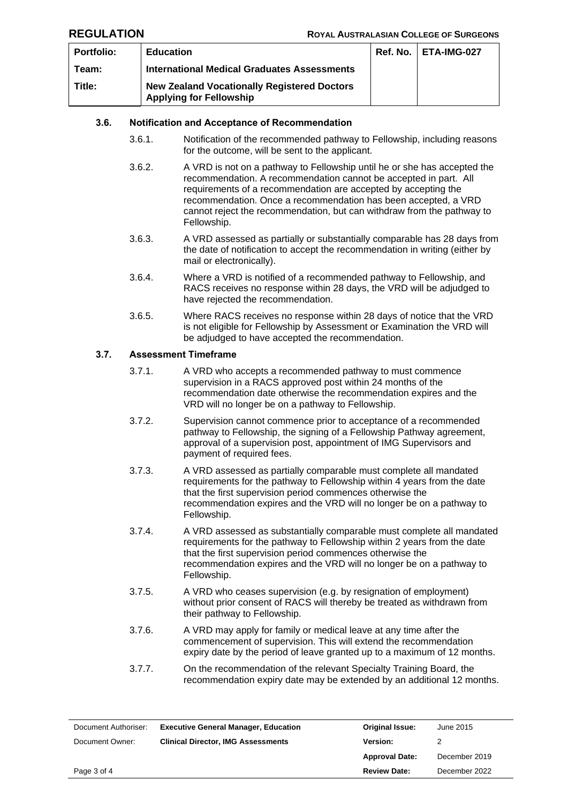| <b>Portfolio:</b> | <b>Education</b>                                                                     | <b>Ref. No.   ETA-IMG-027</b> |
|-------------------|--------------------------------------------------------------------------------------|-------------------------------|
| Team:             | <b>International Medical Graduates Assessments</b>                                   |                               |
| Title:            | <b>New Zealand Vocationally Registered Doctors</b><br><b>Applying for Fellowship</b> |                               |

## **3.6. Notification and Acceptance of Recommendation**

- 3.6.1. Notification of the recommended pathway to Fellowship, including reasons for the outcome, will be sent to the applicant.
- 3.6.2. A VRD is not on a pathway to Fellowship until he or she has accepted the recommendation. A recommendation cannot be accepted in part. All requirements of a recommendation are accepted by accepting the recommendation. Once a recommendation has been accepted, a VRD cannot reject the recommendation, but can withdraw from the pathway to Fellowship.
- 3.6.3. A VRD assessed as partially or substantially comparable has 28 days from the date of notification to accept the recommendation in writing (either by mail or electronically).
- 3.6.4. Where a VRD is notified of a recommended pathway to Fellowship, and RACS receives no response within 28 days, the VRD will be adjudged to have rejected the recommendation.
- 3.6.5. Where RACS receives no response within 28 days of notice that the VRD is not eligible for Fellowship by Assessment or Examination the VRD will be adjudged to have accepted the recommendation.

# **3.7. Assessment Timeframe**

- 3.7.1. A VRD who accepts a recommended pathway to must commence supervision in a RACS approved post within 24 months of the recommendation date otherwise the recommendation expires and the VRD will no longer be on a pathway to Fellowship.
- 3.7.2. Supervision cannot commence prior to acceptance of a recommended pathway to Fellowship, the signing of a Fellowship Pathway agreement, approval of a supervision post, appointment of IMG Supervisors and payment of required fees.
- 3.7.3. A VRD assessed as partially comparable must complete all mandated requirements for the pathway to Fellowship within 4 years from the date that the first supervision period commences otherwise the recommendation expires and the VRD will no longer be on a pathway to Fellowship.
- 3.7.4. A VRD assessed as substantially comparable must complete all mandated requirements for the pathway to Fellowship within 2 years from the date that the first supervision period commences otherwise the recommendation expires and the VRD will no longer be on a pathway to Fellowship.
- 3.7.5. A VRD who ceases supervision (e.g. by resignation of employment) without prior consent of RACS will thereby be treated as withdrawn from their pathway to Fellowship.
- 3.7.6. A VRD may apply for family or medical leave at any time after the commencement of supervision. This will extend the recommendation expiry date by the period of leave granted up to a maximum of 12 months.
- 3.7.7. On the recommendation of the relevant Specialty Training Board, the recommendation expiry date may be extended by an additional 12 months.

| Document Authoriser: | <b>Executive General Manager, Education</b> | <b>Original Issue:</b> | June 2015     |
|----------------------|---------------------------------------------|------------------------|---------------|
| Document Owner:      | <b>Clinical Director, IMG Assessments</b>   | <b>Version:</b>        |               |
|                      |                                             | <b>Approval Date:</b>  | December 2019 |
| Page 3 of 4          |                                             | <b>Review Date:</b>    | December 2022 |